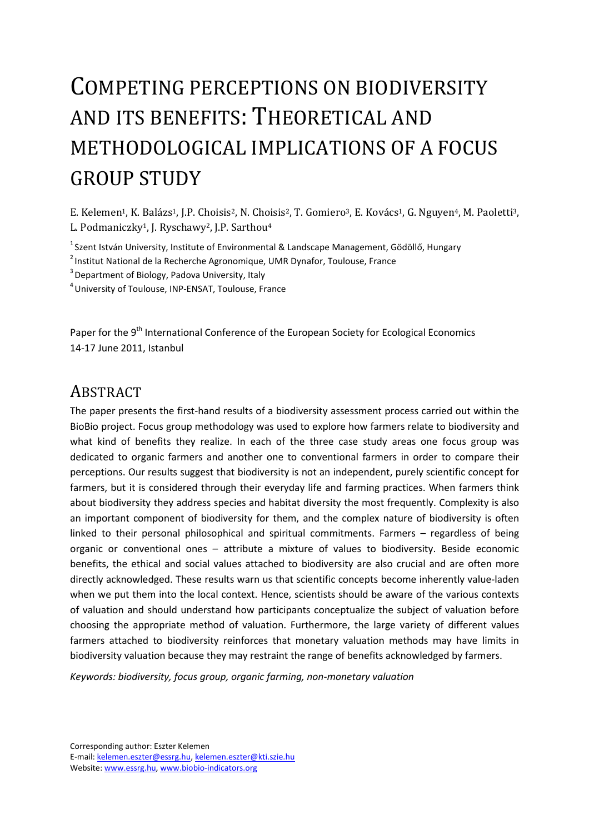# COMPETING PERCEPTIONS ON BIODIVERSITY AND ITS BENEFITS: THEORETICAL AND METHODOLOGICAL IMPLICATIONS OF A FOCUS GROUP STUDY

E. Kelemen<sup>1</sup>, K. Balázs<sup>1</sup>, J.P. Choisis<sup>2</sup>, N. Choisis<sup>2</sup>, T. Gomiero<sup>3</sup>, E. Kovács<sup>1</sup>, G. Nguyen<sup>4</sup>, M. Paoletti<sup>3</sup>, L. Podmaniczky<sup>1</sup>, J. Ryschawy<sup>2</sup>, J.P. Sarthou<sup>4</sup>

 $1$ Szent István University, Institute of Environmental & Landscape Management, Gödöllő, Hungary

<sup>2</sup> Institut National de la Recherche Agronomique, UMR Dynafor, Toulouse, France

 $3$  Department of Biology, Padova University, Italy

<sup>4</sup>University of Toulouse, INP-ENSAT, Toulouse, France

Paper for the 9<sup>th</sup> International Conference of the European Society for Ecological Economics 14-17 June 2011, Istanbul

## ABSTRACT

The paper presents the first-hand results of a biodiversity assessment process carried out within the BioBio project. Focus group methodology was used to explore how farmers relate to biodiversity and what kind of benefits they realize. In each of the three case study areas one focus group was dedicated to organic farmers and another one to conventional farmers in order to compare their perceptions. Our results suggest that biodiversity is not an independent, purely scientific concept for farmers, but it is considered through their everyday life and farming practices. When farmers think about biodiversity they address species and habitat diversity the most frequently. Complexity is also an important component of biodiversity for them, and the complex nature of biodiversity is often linked to their personal philosophical and spiritual commitments. Farmers – regardless of being organic or conventional ones – attribute a mixture of values to biodiversity. Beside economic benefits, the ethical and social values attached to biodiversity are also crucial and are often more directly acknowledged. These results warn us that scientific concepts become inherently value-laden when we put them into the local context. Hence, scientists should be aware of the various contexts of valuation and should understand how participants conceptualize the subject of valuation before choosing the appropriate method of valuation. Furthermore, the large variety of different values farmers attached to biodiversity reinforces that monetary valuation methods may have limits in biodiversity valuation because they may restraint the range of benefits acknowledged by farmers.

*Keywords: biodiversity, focus group, organic farming, non-monetary valuation* 

Corresponding author: Eszter Kelemen E-mail: kelemen.eszter@essrg.hu, kelemen.eszter@kti.szie.hu Website: www.essrg.hu, www.biobio-indicators.org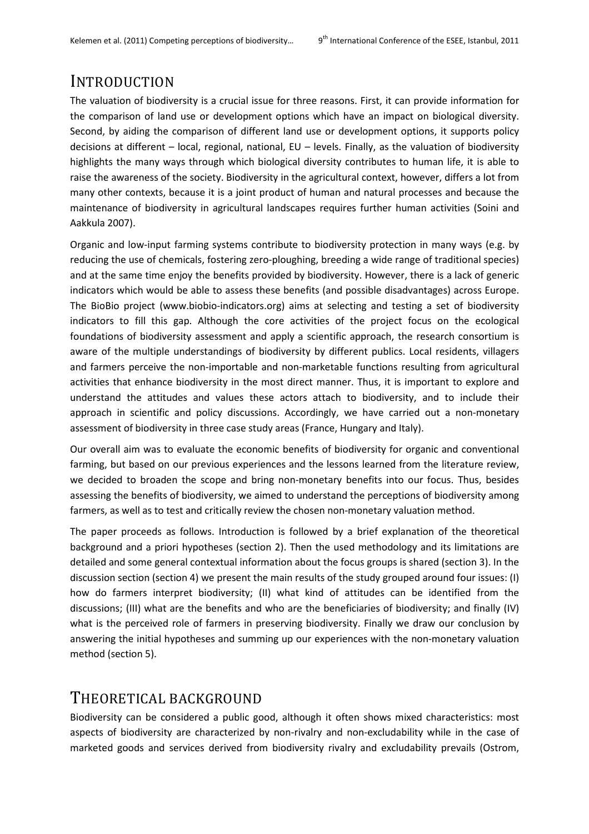## INTRODUCTION

The valuation of biodiversity is a crucial issue for three reasons. First, it can provide information for the comparison of land use or development options which have an impact on biological diversity. Second, by aiding the comparison of different land use or development options, it supports policy decisions at different – local, regional, national, EU – levels. Finally, as the valuation of biodiversity highlights the many ways through which biological diversity contributes to human life, it is able to raise the awareness of the society. Biodiversity in the agricultural context, however, differs a lot from many other contexts, because it is a joint product of human and natural processes and because the maintenance of biodiversity in agricultural landscapes requires further human activities (Soini and Aakkula 2007).

Organic and low-input farming systems contribute to biodiversity protection in many ways (e.g. by reducing the use of chemicals, fostering zero-ploughing, breeding a wide range of traditional species) and at the same time enjoy the benefits provided by biodiversity. However, there is a lack of generic indicators which would be able to assess these benefits (and possible disadvantages) across Europe. The BioBio project (www.biobio-indicators.org) aims at selecting and testing a set of biodiversity indicators to fill this gap. Although the core activities of the project focus on the ecological foundations of biodiversity assessment and apply a scientific approach, the research consortium is aware of the multiple understandings of biodiversity by different publics. Local residents, villagers and farmers perceive the non-importable and non-marketable functions resulting from agricultural activities that enhance biodiversity in the most direct manner. Thus, it is important to explore and understand the attitudes and values these actors attach to biodiversity, and to include their approach in scientific and policy discussions. Accordingly, we have carried out a non-monetary assessment of biodiversity in three case study areas (France, Hungary and Italy).

Our overall aim was to evaluate the economic benefits of biodiversity for organic and conventional farming, but based on our previous experiences and the lessons learned from the literature review, we decided to broaden the scope and bring non-monetary benefits into our focus. Thus, besides assessing the benefits of biodiversity, we aimed to understand the perceptions of biodiversity among farmers, as well as to test and critically review the chosen non-monetary valuation method.

The paper proceeds as follows. Introduction is followed by a brief explanation of the theoretical background and a priori hypotheses (section 2). Then the used methodology and its limitations are detailed and some general contextual information about the focus groups is shared (section 3). In the discussion section (section 4) we present the main results of the study grouped around four issues: (I) how do farmers interpret biodiversity; (II) what kind of attitudes can be identified from the discussions; (III) what are the benefits and who are the beneficiaries of biodiversity; and finally (IV) what is the perceived role of farmers in preserving biodiversity. Finally we draw our conclusion by answering the initial hypotheses and summing up our experiences with the non-monetary valuation method (section 5).

## THEORETICAL BACKGROUND

Biodiversity can be considered a public good, although it often shows mixed characteristics: most aspects of biodiversity are characterized by non-rivalry and non-excludability while in the case of marketed goods and services derived from biodiversity rivalry and excludability prevails (Ostrom,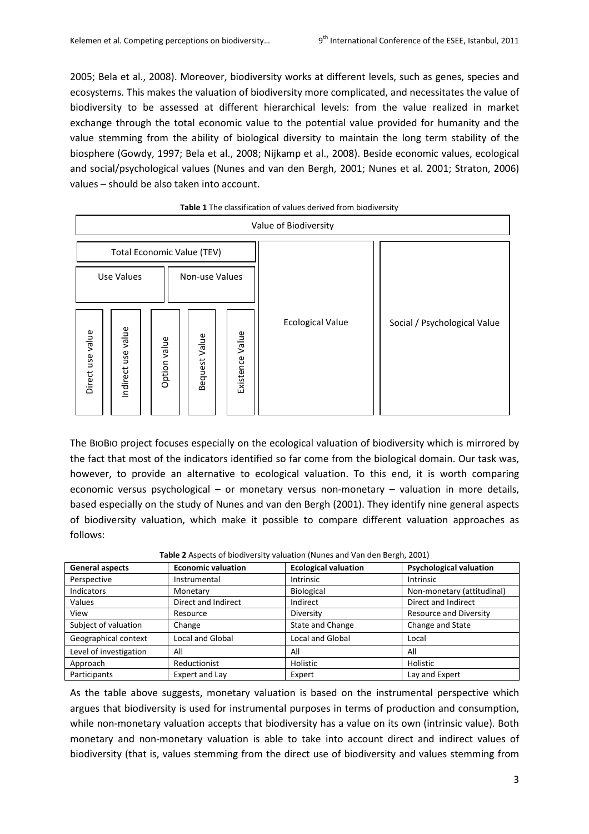2005; Bela et al., 2008). Moreover, biodiversity works at different levels, such as genes, species and ecosystems. This makes the valuation of biodiversity more complicated, and necessitates the value of biodiversity to be assessed at different hierarchical levels: from the value realized in market exchange through the total economic value to the potential value provided for humanity and the value stemming from the ability of biological diversity to maintain the long term stability of the biosphere (Gowdy, 1997; Bela et al., 2008; Nijkamp et al., 2008). Beside economic values, ecological and social/psychological values (Nunes and van den Bergh, 2001; Nunes et al. 2001; Straton, 2006) values – should be also taken into account.

| Value of Biodiversity               |                            |                 |                  |                    |                         |                              |  |  |  |
|-------------------------------------|----------------------------|-----------------|------------------|--------------------|-------------------------|------------------------------|--|--|--|
|                                     | Total Economic Value (TEV) |                 |                  |                    |                         |                              |  |  |  |
| <b>Use Values</b><br>Non-use Values |                            |                 |                  |                    |                         |                              |  |  |  |
| Direct use value                    | Indirect use value         | value<br>Option | Value<br>Bequest | Value<br>Existence | <b>Ecological Value</b> | Social / Psychological Value |  |  |  |

#### **Table 1** The classification of values derived from biodiversity

The BIOBIO project focuses especially on the ecological valuation of biodiversity which is mirrored by the fact that most of the indicators identified so far come from the biological domain. Our task was, however, to provide an alternative to ecological valuation. To this end, it is worth comparing economic versus psychological – or monetary versus non-monetary – valuation in more details, based especially on the study of Nunes and van den Bergh (2001). They identify nine general aspects of biodiversity valuation, which make it possible to compare different valuation approaches as follows:

| <b>Table E</b> ropects of ploan clotty valuation financs and van ach beight E0011 |                           |                             |                                |  |  |  |  |
|-----------------------------------------------------------------------------------|---------------------------|-----------------------------|--------------------------------|--|--|--|--|
| <b>General aspects</b>                                                            | <b>Economic valuation</b> | <b>Ecological valuation</b> | <b>Psychological valuation</b> |  |  |  |  |
| Perspective                                                                       | Instrumental              | <b>Intrinsic</b>            | <b>Intrinsic</b>               |  |  |  |  |
| <b>Indicators</b>                                                                 | Monetary                  | <b>Biological</b>           | Non-monetary (attitudinal)     |  |  |  |  |
| <b>Values</b>                                                                     | Direct and Indirect       | Indirect                    | Direct and Indirect            |  |  |  |  |
| View                                                                              | Resource                  | Diversity                   | <b>Resource and Diversity</b>  |  |  |  |  |
| Subject of valuation                                                              | Change                    | <b>State and Change</b>     | Change and State               |  |  |  |  |
| Geographical context                                                              | Local and Global          | Local and Global            | Local                          |  |  |  |  |
| Level of investigation                                                            | All                       | All                         | All                            |  |  |  |  |
| Approach                                                                          | Reductionist              | Holistic                    | Holistic                       |  |  |  |  |
| Participants                                                                      | Expert and Lay            | Expert                      | Lay and Expert                 |  |  |  |  |

**Table 2** Aspects of biodiversity valuation (Nunes and Van den Bergh, 2001)

As the table above suggests, monetary valuation is based on the instrumental perspective which argues that biodiversity is used for instrumental purposes in terms of production and consumption, while non-monetary valuation accepts that biodiversity has a value on its own (intrinsic value). Both monetary and non-monetary valuation is able to take into account direct and indirect values of biodiversity (that is, values stemming from the direct use of biodiversity and values stemming from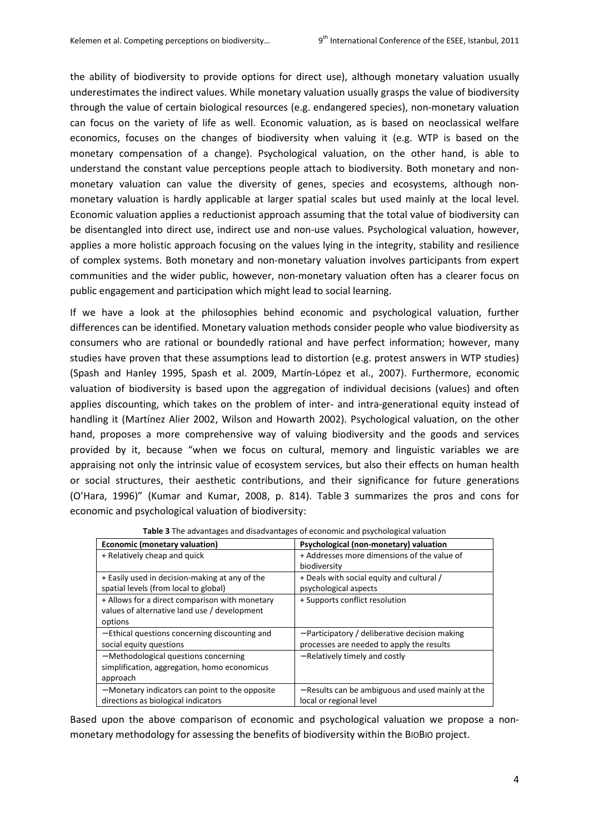the ability of biodiversity to provide options for direct use), although monetary valuation usually underestimates the indirect values. While monetary valuation usually grasps the value of biodiversity through the value of certain biological resources (e.g. endangered species), non-monetary valuation can focus on the variety of life as well. Economic valuation, as is based on neoclassical welfare economics, focuses on the changes of biodiversity when valuing it (e.g. WTP is based on the monetary compensation of a change). Psychological valuation, on the other hand, is able to understand the constant value perceptions people attach to biodiversity. Both monetary and nonmonetary valuation can value the diversity of genes, species and ecosystems, although nonmonetary valuation is hardly applicable at larger spatial scales but used mainly at the local level. Economic valuation applies a reductionist approach assuming that the total value of biodiversity can be disentangled into direct use, indirect use and non-use values. Psychological valuation, however, applies a more holistic approach focusing on the values lying in the integrity, stability and resilience of complex systems. Both monetary and non-monetary valuation involves participants from expert communities and the wider public, however, non-monetary valuation often has a clearer focus on public engagement and participation which might lead to social learning.

If we have a look at the philosophies behind economic and psychological valuation, further differences can be identified. Monetary valuation methods consider people who value biodiversity as consumers who are rational or boundedly rational and have perfect information; however, many studies have proven that these assumptions lead to distortion (e.g. protest answers in WTP studies) (Spash and Hanley 1995, Spash et al. 2009, Martín-López et al., 2007). Furthermore, economic valuation of biodiversity is based upon the aggregation of individual decisions (values) and often applies discounting, which takes on the problem of inter- and intra-generational equity instead of handling it (Martínez Alier 2002, Wilson and Howarth 2002). Psychological valuation, on the other hand, proposes a more comprehensive way of valuing biodiversity and the goods and services provided by it, because "when we focus on cultural, memory and linguistic variables we are appraising not only the intrinsic value of ecosystem services, but also their effects on human health or social structures, their aesthetic contributions, and their significance for future generations (O'Hara, 1996)" (Kumar and Kumar, 2008, p. 814). Table 3 summarizes the pros and cons for economic and psychological valuation of biodiversity:

| Economic (monetary valuation)                   | Psychological (non-monetary) valuation            |  |
|-------------------------------------------------|---------------------------------------------------|--|
| + Relatively cheap and quick                    | + Addresses more dimensions of the value of       |  |
|                                                 | biodiversity                                      |  |
| + Easily used in decision-making at any of the  | + Deals with social equity and cultural /         |  |
| spatial levels (from local to global)           | psychological aspects                             |  |
| + Allows for a direct comparison with monetary  | + Supports conflict resolution                    |  |
| values of alternative land use / development    |                                                   |  |
| options                                         |                                                   |  |
| - Ethical questions concerning discounting and  | - Participatory / deliberative decision making    |  |
| social equity questions                         | processes are needed to apply the results         |  |
| - Methodological questions concerning           | - Relatively timely and costly                    |  |
| simplification, aggregation, homo economicus    |                                                   |  |
| approach                                        |                                                   |  |
| - Monetary indicators can point to the opposite | - Results can be ambiguous and used mainly at the |  |
| directions as biological indicators             | local or regional level                           |  |

**Table 3** The advantages and disadvantages of economic and psychological valuation

Based upon the above comparison of economic and psychological valuation we propose a nonmonetary methodology for assessing the benefits of biodiversity within the BIOBIO project.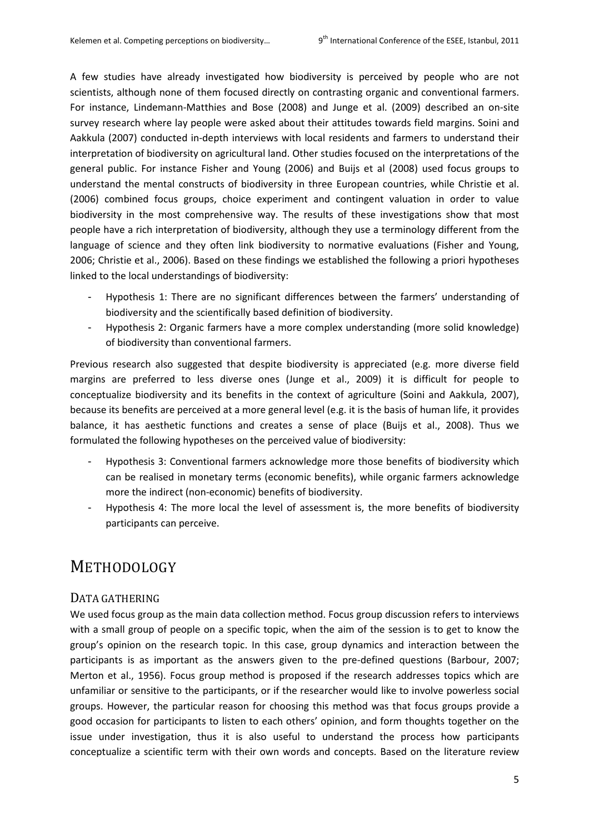A few studies have already investigated how biodiversity is perceived by people who are not scientists, although none of them focused directly on contrasting organic and conventional farmers. For instance, Lindemann-Matthies and Bose (2008) and Junge et al. (2009) described an on-site survey research where lay people were asked about their attitudes towards field margins. Soini and Aakkula (2007) conducted in-depth interviews with local residents and farmers to understand their interpretation of biodiversity on agricultural land. Other studies focused on the interpretations of the general public. For instance Fisher and Young (2006) and Buijs et al (2008) used focus groups to understand the mental constructs of biodiversity in three European countries, while Christie et al. (2006) combined focus groups, choice experiment and contingent valuation in order to value biodiversity in the most comprehensive way. The results of these investigations show that most people have a rich interpretation of biodiversity, although they use a terminology different from the language of science and they often link biodiversity to normative evaluations (Fisher and Young, 2006; Christie et al., 2006). Based on these findings we established the following a priori hypotheses linked to the local understandings of biodiversity:

- Hypothesis 1: There are no significant differences between the farmers' understanding of biodiversity and the scientifically based definition of biodiversity.
- Hypothesis 2: Organic farmers have a more complex understanding (more solid knowledge) of biodiversity than conventional farmers.

Previous research also suggested that despite biodiversity is appreciated (e.g. more diverse field margins are preferred to less diverse ones (Junge et al., 2009) it is difficult for people to conceptualize biodiversity and its benefits in the context of agriculture (Soini and Aakkula, 2007), because its benefits are perceived at a more general level (e.g. it is the basis of human life, it provides balance, it has aesthetic functions and creates a sense of place (Buijs et al., 2008). Thus we formulated the following hypotheses on the perceived value of biodiversity:

- Hypothesis 3: Conventional farmers acknowledge more those benefits of biodiversity which can be realised in monetary terms (economic benefits), while organic farmers acknowledge more the indirect (non-economic) benefits of biodiversity.
- Hypothesis 4: The more local the level of assessment is, the more benefits of biodiversity participants can perceive.

# METHODOLOGY

### DATA GATHERING

We used focus group as the main data collection method. Focus group discussion refers to interviews with a small group of people on a specific topic, when the aim of the session is to get to know the group's opinion on the research topic. In this case, group dynamics and interaction between the participants is as important as the answers given to the pre-defined questions (Barbour, 2007; Merton et al., 1956). Focus group method is proposed if the research addresses topics which are unfamiliar or sensitive to the participants, or if the researcher would like to involve powerless social groups. However, the particular reason for choosing this method was that focus groups provide a good occasion for participants to listen to each others' opinion, and form thoughts together on the issue under investigation, thus it is also useful to understand the process how participants conceptualize a scientific term with their own words and concepts. Based on the literature review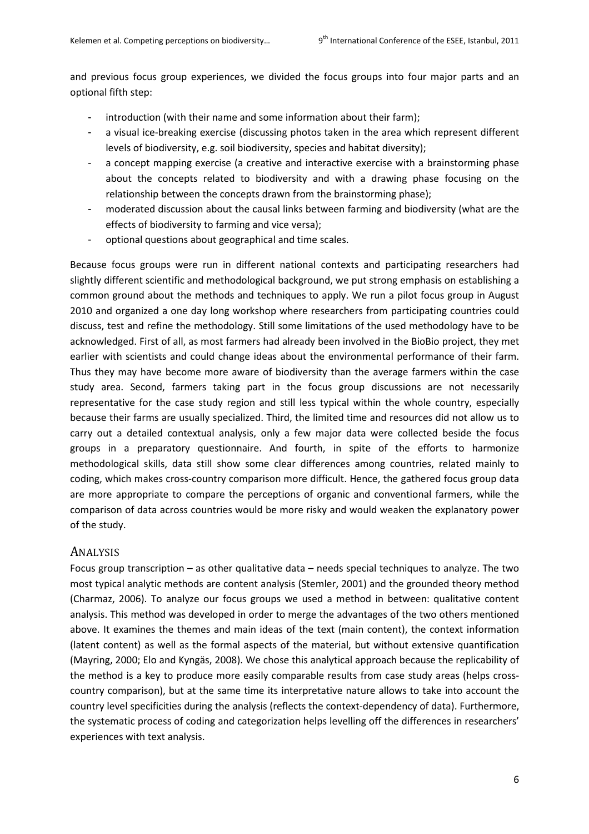and previous focus group experiences, we divided the focus groups into four major parts and an optional fifth step:

- introduction (with their name and some information about their farm);
- a visual ice-breaking exercise (discussing photos taken in the area which represent different levels of biodiversity, e.g. soil biodiversity, species and habitat diversity);
- a concept mapping exercise (a creative and interactive exercise with a brainstorming phase about the concepts related to biodiversity and with a drawing phase focusing on the relationship between the concepts drawn from the brainstorming phase);
- moderated discussion about the causal links between farming and biodiversity (what are the effects of biodiversity to farming and vice versa);
- optional questions about geographical and time scales.

Because focus groups were run in different national contexts and participating researchers had slightly different scientific and methodological background, we put strong emphasis on establishing a common ground about the methods and techniques to apply. We run a pilot focus group in August 2010 and organized a one day long workshop where researchers from participating countries could discuss, test and refine the methodology. Still some limitations of the used methodology have to be acknowledged. First of all, as most farmers had already been involved in the BioBio project, they met earlier with scientists and could change ideas about the environmental performance of their farm. Thus they may have become more aware of biodiversity than the average farmers within the case study area. Second, farmers taking part in the focus group discussions are not necessarily representative for the case study region and still less typical within the whole country, especially because their farms are usually specialized. Third, the limited time and resources did not allow us to carry out a detailed contextual analysis, only a few major data were collected beside the focus groups in a preparatory questionnaire. And fourth, in spite of the efforts to harmonize methodological skills, data still show some clear differences among countries, related mainly to coding, which makes cross-country comparison more difficult. Hence, the gathered focus group data are more appropriate to compare the perceptions of organic and conventional farmers, while the comparison of data across countries would be more risky and would weaken the explanatory power of the study.

#### ANALYSIS

Focus group transcription – as other qualitative data – needs special techniques to analyze. The two most typical analytic methods are content analysis (Stemler, 2001) and the grounded theory method (Charmaz, 2006). To analyze our focus groups we used a method in between: qualitative content analysis. This method was developed in order to merge the advantages of the two others mentioned above. It examines the themes and main ideas of the text (main content), the context information (latent content) as well as the formal aspects of the material, but without extensive quantification (Mayring, 2000; Elo and Kyngäs, 2008). We chose this analytical approach because the replicability of the method is a key to produce more easily comparable results from case study areas (helps crosscountry comparison), but at the same time its interpretative nature allows to take into account the country level specificities during the analysis (reflects the context-dependency of data). Furthermore, the systematic process of coding and categorization helps levelling off the differences in researchers' experiences with text analysis.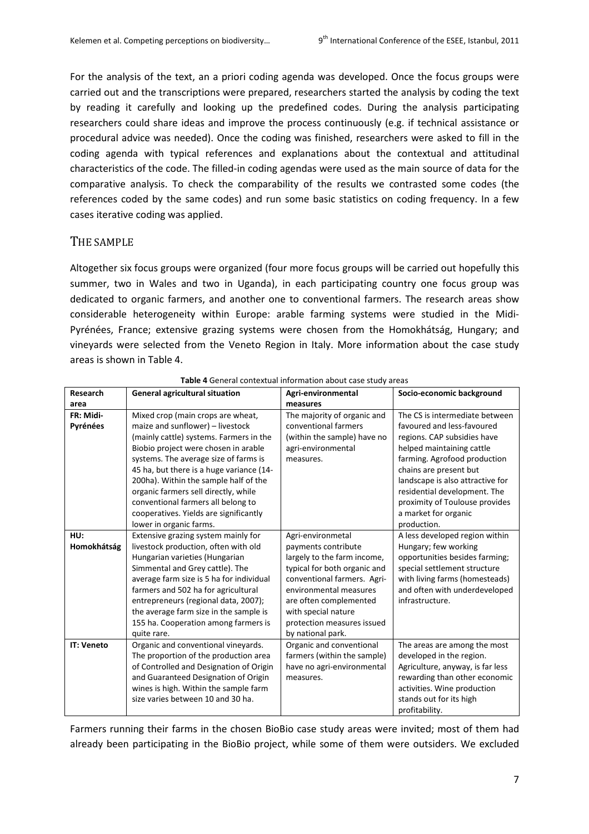For the analysis of the text, an a priori coding agenda was developed. Once the focus groups were carried out and the transcriptions were prepared, researchers started the analysis by coding the text by reading it carefully and looking up the predefined codes. During the analysis participating researchers could share ideas and improve the process continuously (e.g. if technical assistance or procedural advice was needed). Once the coding was finished, researchers were asked to fill in the coding agenda with typical references and explanations about the contextual and attitudinal characteristics of the code. The filled-in coding agendas were used as the main source of data for the comparative analysis. To check the comparability of the results we contrasted some codes (the references coded by the same codes) and run some basic statistics on coding frequency. In a few cases iterative coding was applied.

#### THE SAMPLE

Altogether six focus groups were organized (four more focus groups will be carried out hopefully this summer, two in Wales and two in Uganda), in each participating country one focus group was dedicated to organic farmers, and another one to conventional farmers. The research areas show considerable heterogeneity within Europe: arable farming systems were studied in the Midi-Pyrénées, France; extensive grazing systems were chosen from the Homokhátság, Hungary; and vineyards were selected from the Veneto Region in Italy. More information about the case study areas is shown in Table 4.

| Research              | <b>General agricultural situation</b>                                                                                                                                                                                                                                                                                                                                                                                                     | Agri-environmental                                                                                                                                                                                                                              | Socio-economic background                                                                                                                                                                                                                                                                                                       |
|-----------------------|-------------------------------------------------------------------------------------------------------------------------------------------------------------------------------------------------------------------------------------------------------------------------------------------------------------------------------------------------------------------------------------------------------------------------------------------|-------------------------------------------------------------------------------------------------------------------------------------------------------------------------------------------------------------------------------------------------|---------------------------------------------------------------------------------------------------------------------------------------------------------------------------------------------------------------------------------------------------------------------------------------------------------------------------------|
| area                  |                                                                                                                                                                                                                                                                                                                                                                                                                                           | measures                                                                                                                                                                                                                                        |                                                                                                                                                                                                                                                                                                                                 |
| FR: Midi-<br>Pyrénées | Mixed crop (main crops are wheat,<br>maize and sunflower) - livestock<br>(mainly cattle) systems. Farmers in the<br>Biobio project were chosen in arable<br>systems. The average size of farms is<br>45 ha, but there is a huge variance (14-<br>200ha). Within the sample half of the<br>organic farmers sell directly, while<br>conventional farmers all belong to<br>cooperatives. Yields are significantly<br>lower in organic farms. | The majority of organic and<br>conventional farmers<br>(within the sample) have no<br>agri-environmental<br>measures.                                                                                                                           | The CS is intermediate between<br>favoured and less-favoured<br>regions. CAP subsidies have<br>helped maintaining cattle<br>farming. Agrofood production<br>chains are present but<br>landscape is also attractive for<br>residential development. The<br>proximity of Toulouse provides<br>a market for organic<br>production. |
| HU:                   | Extensive grazing system mainly for                                                                                                                                                                                                                                                                                                                                                                                                       | Agri-environmetal                                                                                                                                                                                                                               | A less developed region within                                                                                                                                                                                                                                                                                                  |
| Homokhátság           | livestock production, often with old<br>Hungarian varieties (Hungarian<br>Simmental and Grey cattle). The<br>average farm size is 5 ha for individual<br>farmers and 502 ha for agricultural<br>entrepreneurs (regional data, 2007);<br>the average farm size in the sample is<br>155 ha. Cooperation among farmers is<br>quite rare.                                                                                                     | payments contribute<br>largely to the farm income,<br>typical for both organic and<br>conventional farmers. Agri-<br>environmental measures<br>are often complemented<br>with special nature<br>protection measures issued<br>by national park. | Hungary; few working<br>opportunities besides farming;<br>special settlement structure<br>with living farms (homesteads)<br>and often with underdeveloped<br>infrastructure.                                                                                                                                                    |
| <b>IT: Veneto</b>     | Organic and conventional vineyards.<br>The proportion of the production area<br>of Controlled and Designation of Origin<br>and Guaranteed Designation of Origin<br>wines is high. Within the sample farm<br>size varies between 10 and 30 ha.                                                                                                                                                                                             | Organic and conventional<br>farmers (within the sample)<br>have no agri-environmental<br>measures.                                                                                                                                              | The areas are among the most<br>developed in the region.<br>Agriculture, anyway, is far less<br>rewarding than other economic<br>activities. Wine production<br>stands out for its high<br>profitability.                                                                                                                       |

**Table 4** General contextual information about case study areas

Farmers running their farms in the chosen BioBio case study areas were invited; most of them had already been participating in the BioBio project, while some of them were outsiders. We excluded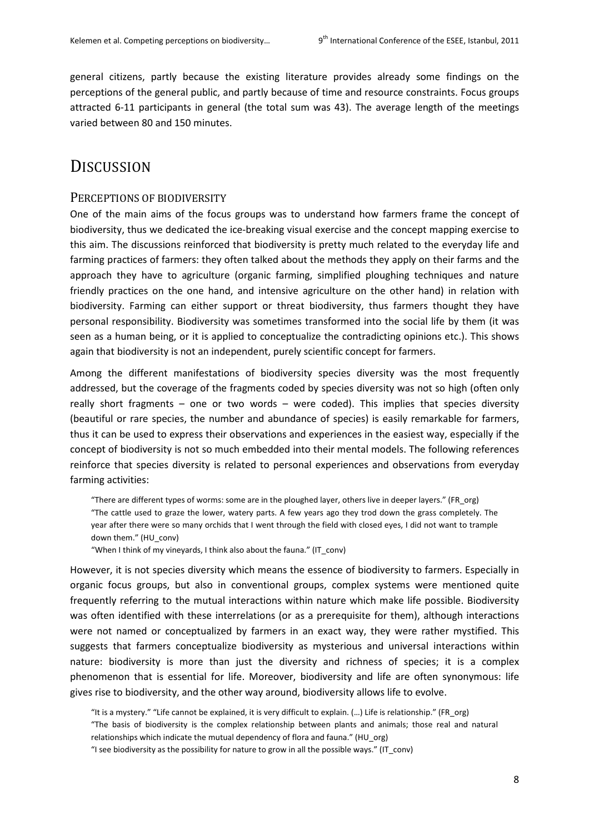general citizens, partly because the existing literature provides already some findings on the perceptions of the general public, and partly because of time and resource constraints. Focus groups attracted 6-11 participants in general (the total sum was 43). The average length of the meetings varied between 80 and 150 minutes.

## **DISCUSSION**

#### PERCEPTIONS OF BIODIVERSITY

One of the main aims of the focus groups was to understand how farmers frame the concept of biodiversity, thus we dedicated the ice-breaking visual exercise and the concept mapping exercise to this aim. The discussions reinforced that biodiversity is pretty much related to the everyday life and farming practices of farmers: they often talked about the methods they apply on their farms and the approach they have to agriculture (organic farming, simplified ploughing techniques and nature friendly practices on the one hand, and intensive agriculture on the other hand) in relation with biodiversity. Farming can either support or threat biodiversity, thus farmers thought they have personal responsibility. Biodiversity was sometimes transformed into the social life by them (it was seen as a human being, or it is applied to conceptualize the contradicting opinions etc.). This shows again that biodiversity is not an independent, purely scientific concept for farmers.

Among the different manifestations of biodiversity species diversity was the most frequently addressed, but the coverage of the fragments coded by species diversity was not so high (often only really short fragments – one or two words – were coded). This implies that species diversity (beautiful or rare species, the number and abundance of species) is easily remarkable for farmers, thus it can be used to express their observations and experiences in the easiest way, especially if the concept of biodiversity is not so much embedded into their mental models. The following references reinforce that species diversity is related to personal experiences and observations from everyday farming activities:

"There are different types of worms: some are in the ploughed layer, others live in deeper layers." (FR\_org) "The cattle used to graze the lower, watery parts. A few years ago they trod down the grass completely. The year after there were so many orchids that I went through the field with closed eyes, I did not want to trample down them." (HU\_conv)

"When I think of my vineyards, I think also about the fauna." (IT\_conv)

However, it is not species diversity which means the essence of biodiversity to farmers. Especially in organic focus groups, but also in conventional groups, complex systems were mentioned quite frequently referring to the mutual interactions within nature which make life possible. Biodiversity was often identified with these interrelations (or as a prerequisite for them), although interactions were not named or conceptualized by farmers in an exact way, they were rather mystified. This suggests that farmers conceptualize biodiversity as mysterious and universal interactions within nature: biodiversity is more than just the diversity and richness of species; it is a complex phenomenon that is essential for life. Moreover, biodiversity and life are often synonymous: life gives rise to biodiversity, and the other way around, biodiversity allows life to evolve.

"It is a mystery." "Life cannot be explained, it is very difficult to explain. (…) Life is relationship." (FR\_org) "The basis of biodiversity is the complex relationship between plants and animals; those real and natural

relationships which indicate the mutual dependency of flora and fauna." (HU org)

"I see biodiversity as the possibility for nature to grow in all the possible ways." (IT\_conv)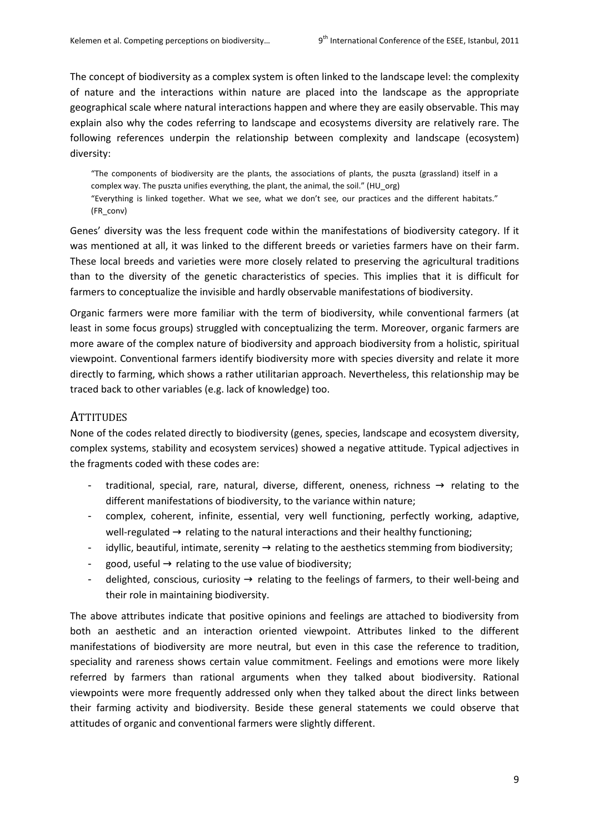The concept of biodiversity as a complex system is often linked to the landscape level: the complexity of nature and the interactions within nature are placed into the landscape as the appropriate geographical scale where natural interactions happen and where they are easily observable. This may explain also why the codes referring to landscape and ecosystems diversity are relatively rare. The following references underpin the relationship between complexity and landscape (ecosystem) diversity:

"The components of biodiversity are the plants, the associations of plants, the puszta (grassland) itself in a complex way. The puszta unifies everything, the plant, the animal, the soil." (HU\_org) "Everything is linked together. What we see, what we don't see, our practices and the different habitats."

(FR\_conv)

Genes' diversity was the less frequent code within the manifestations of biodiversity category. If it was mentioned at all, it was linked to the different breeds or varieties farmers have on their farm. These local breeds and varieties were more closely related to preserving the agricultural traditions than to the diversity of the genetic characteristics of species. This implies that it is difficult for farmers to conceptualize the invisible and hardly observable manifestations of biodiversity.

Organic farmers were more familiar with the term of biodiversity, while conventional farmers (at least in some focus groups) struggled with conceptualizing the term. Moreover, organic farmers are more aware of the complex nature of biodiversity and approach biodiversity from a holistic, spiritual viewpoint. Conventional farmers identify biodiversity more with species diversity and relate it more directly to farming, which shows a rather utilitarian approach. Nevertheless, this relationship may be traced back to other variables (e.g. lack of knowledge) too.

#### **ATTITUDES**

None of the codes related directly to biodiversity (genes, species, landscape and ecosystem diversity, complex systems, stability and ecosystem services) showed a negative attitude. Typical adjectives in the fragments coded with these codes are:

- traditional, special, rare, natural, diverse, different, oneness, richness  $\rightarrow$  relating to the different manifestations of biodiversity, to the variance within nature;
- complex, coherent, infinite, essential, very well functioning, perfectly working, adaptive, well-regulated  $\rightarrow$  relating to the natural interactions and their healthy functioning;
- idyllic, beautiful, intimate, serenity  $\rightarrow$  relating to the aesthetics stemming from biodiversity;
- good, useful  $\rightarrow$  relating to the use value of biodiversity;
- delighted, conscious, curiosity  $\rightarrow$  relating to the feelings of farmers, to their well-being and their role in maintaining biodiversity.

The above attributes indicate that positive opinions and feelings are attached to biodiversity from both an aesthetic and an interaction oriented viewpoint. Attributes linked to the different manifestations of biodiversity are more neutral, but even in this case the reference to tradition, speciality and rareness shows certain value commitment. Feelings and emotions were more likely referred by farmers than rational arguments when they talked about biodiversity. Rational viewpoints were more frequently addressed only when they talked about the direct links between their farming activity and biodiversity. Beside these general statements we could observe that attitudes of organic and conventional farmers were slightly different.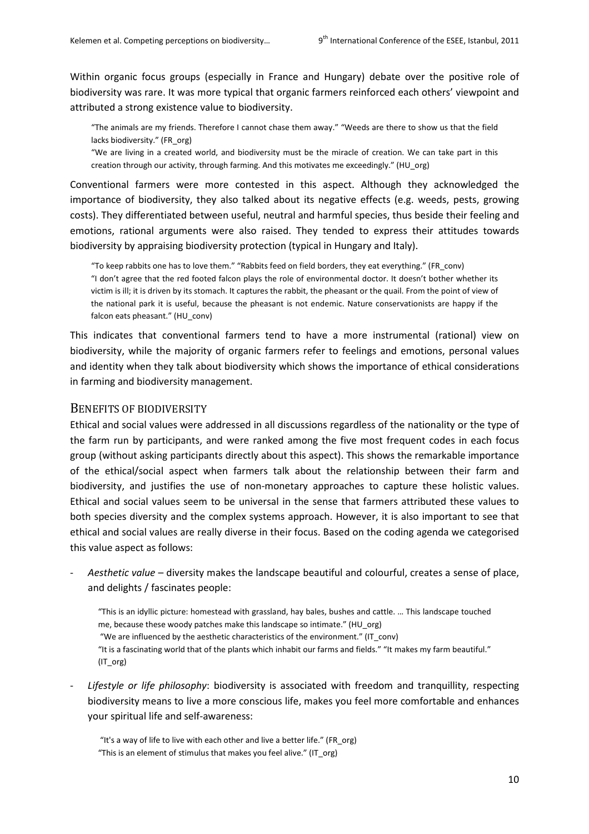Within organic focus groups (especially in France and Hungary) debate over the positive role of biodiversity was rare. It was more typical that organic farmers reinforced each others' viewpoint and attributed a strong existence value to biodiversity.

"The animals are my friends. Therefore I cannot chase them away." "Weeds are there to show us that the field lacks biodiversity." (FR\_org)

"We are living in a created world, and biodiversity must be the miracle of creation. We can take part in this creation through our activity, through farming. And this motivates me exceedingly." (HU\_org)

Conventional farmers were more contested in this aspect. Although they acknowledged the importance of biodiversity, they also talked about its negative effects (e.g. weeds, pests, growing costs). They differentiated between useful, neutral and harmful species, thus beside their feeling and emotions, rational arguments were also raised. They tended to express their attitudes towards biodiversity by appraising biodiversity protection (typical in Hungary and Italy).

"To keep rabbits one has to love them." "Rabbits feed on field borders, they eat everything." (FR\_conv) "I don't agree that the red footed falcon plays the role of environmental doctor. It doesn't bother whether its victim is ill; it is driven by its stomach. It captures the rabbit, the pheasant or the quail. From the point of view of the national park it is useful, because the pheasant is not endemic. Nature conservationists are happy if the falcon eats pheasant." (HU\_conv)

This indicates that conventional farmers tend to have a more instrumental (rational) view on biodiversity, while the majority of organic farmers refer to feelings and emotions, personal values and identity when they talk about biodiversity which shows the importance of ethical considerations in farming and biodiversity management.

#### BENEFITS OF BIODIVERSITY

Ethical and social values were addressed in all discussions regardless of the nationality or the type of the farm run by participants, and were ranked among the five most frequent codes in each focus group (without asking participants directly about this aspect). This shows the remarkable importance of the ethical/social aspect when farmers talk about the relationship between their farm and biodiversity, and justifies the use of non-monetary approaches to capture these holistic values. Ethical and social values seem to be universal in the sense that farmers attributed these values to both species diversity and the complex systems approach. However, it is also important to see that ethical and social values are really diverse in their focus. Based on the coding agenda we categorised this value aspect as follows:

- *Aesthetic value* – diversity makes the landscape beautiful and colourful, creates a sense of place, and delights / fascinates people:

"This is an idyllic picture: homestead with grassland, hay bales, bushes and cattle. … This landscape touched me, because these woody patches make this landscape so intimate." (HU\_org) "We are influenced by the aesthetic characteristics of the environment." (IT\_conv) "It is a fascinating world that of the plants which inhabit our farms and fields." "It makes my farm beautiful." (IT\_org)

Lifestyle or life philosophy: biodiversity is associated with freedom and tranquillity, respecting biodiversity means to live a more conscious life, makes you feel more comfortable and enhances your spiritual life and self-awareness:

 "It's a way of life to live with each other and live a better life." (FR\_org) "This is an element of stimulus that makes you feel alive." (IT\_org)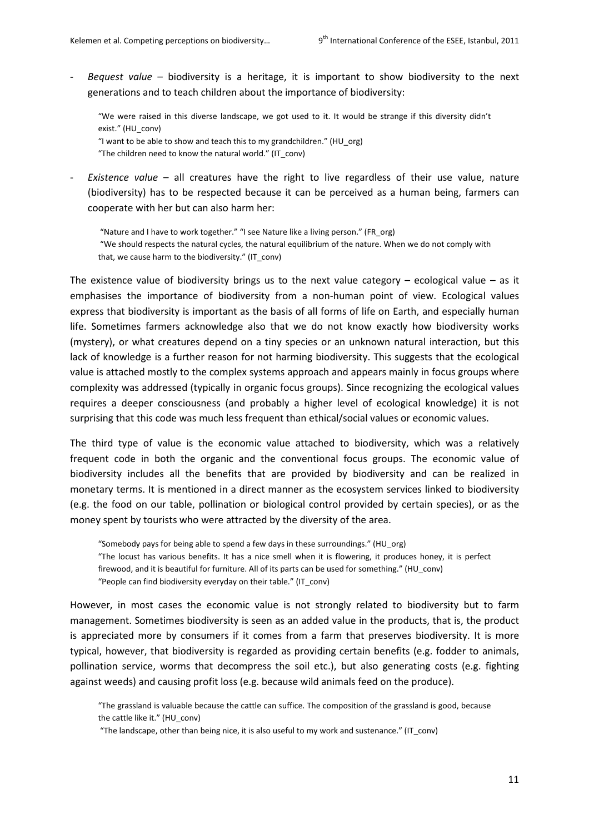- *Bequest value* – biodiversity is a heritage, it is important to show biodiversity to the next generations and to teach children about the importance of biodiversity:

"We were raised in this diverse landscape, we got used to it. It would be strange if this diversity didn't exist." (HU\_conv)

"I want to be able to show and teach this to my grandchildren." (HU\_org)

"The children need to know the natural world." (IT\_conv)

*Existence value* – all creatures have the right to live regardless of their use value, nature (biodiversity) has to be respected because it can be perceived as a human being, farmers can cooperate with her but can also harm her:

 "Nature and I have to work together." "I see Nature like a living person." (FR\_org) "We should respects the natural cycles, the natural equilibrium of the nature. When we do not comply with that, we cause harm to the biodiversity." (IT conv)

The existence value of biodiversity brings us to the next value category  $-$  ecological value  $-$  as it emphasises the importance of biodiversity from a non-human point of view. Ecological values express that biodiversity is important as the basis of all forms of life on Earth, and especially human life. Sometimes farmers acknowledge also that we do not know exactly how biodiversity works (mystery), or what creatures depend on a tiny species or an unknown natural interaction, but this lack of knowledge is a further reason for not harming biodiversity. This suggests that the ecological value is attached mostly to the complex systems approach and appears mainly in focus groups where complexity was addressed (typically in organic focus groups). Since recognizing the ecological values requires a deeper consciousness (and probably a higher level of ecological knowledge) it is not surprising that this code was much less frequent than ethical/social values or economic values.

The third type of value is the economic value attached to biodiversity, which was a relatively frequent code in both the organic and the conventional focus groups. The economic value of biodiversity includes all the benefits that are provided by biodiversity and can be realized in monetary terms. It is mentioned in a direct manner as the ecosystem services linked to biodiversity (e.g. the food on our table, pollination or biological control provided by certain species), or as the money spent by tourists who were attracted by the diversity of the area.

"Somebody pays for being able to spend a few days in these surroundings." (HU\_org) "The locust has various benefits. It has a nice smell when it is flowering, it produces honey, it is perfect firewood, and it is beautiful for furniture. All of its parts can be used for something." (HU\_conv) "People can find biodiversity everyday on their table." (IT\_conv)

However, in most cases the economic value is not strongly related to biodiversity but to farm management. Sometimes biodiversity is seen as an added value in the products, that is, the product is appreciated more by consumers if it comes from a farm that preserves biodiversity. It is more typical, however, that biodiversity is regarded as providing certain benefits (e.g. fodder to animals, pollination service, worms that decompress the soil etc.), but also generating costs (e.g. fighting against weeds) and causing profit loss (e.g. because wild animals feed on the produce).

<sup>&</sup>quot;The grassland is valuable because the cattle can suffice. The composition of the grassland is good, because the cattle like it." (HU\_conv)

 <sup>&</sup>quot;The landscape, other than being nice, it is also useful to my work and sustenance." (IT\_conv)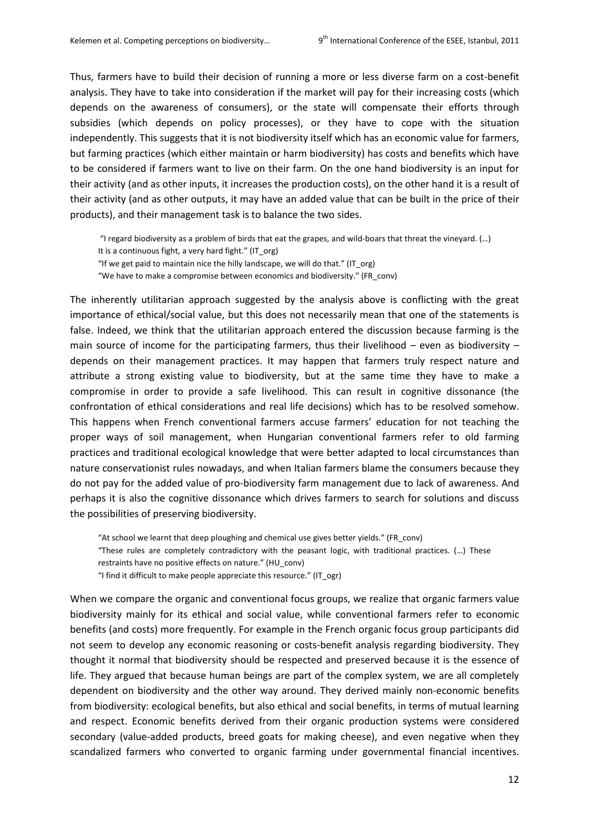Thus, farmers have to build their decision of running a more or less diverse farm on a cost-benefit analysis. They have to take into consideration if the market will pay for their increasing costs (which depends on the awareness of consumers), or the state will compensate their efforts through subsidies (which depends on policy processes), or they have to cope with the situation independently. This suggests that it is not biodiversity itself which has an economic value for farmers, but farming practices (which either maintain or harm biodiversity) has costs and benefits which have to be considered if farmers want to live on their farm. On the one hand biodiversity is an input for their activity (and as other inputs, it increases the production costs), on the other hand it is a result of their activity (and as other outputs, it may have an added value that can be built in the price of their products), and their management task is to balance the two sides.

 "I regard biodiversity as a problem of birds that eat the grapes, and wild-boars that threat the vineyard. (…) It is a continuous fight, a very hard fight." (IT\_org) "If we get paid to maintain nice the hilly landscape, we will do that." (IT\_org) "We have to make a compromise between economics and biodiversity." (FR\_conv)

The inherently utilitarian approach suggested by the analysis above is conflicting with the great importance of ethical/social value, but this does not necessarily mean that one of the statements is false. Indeed, we think that the utilitarian approach entered the discussion because farming is the main source of income for the participating farmers, thus their livelihood – even as biodiversity – depends on their management practices. It may happen that farmers truly respect nature and attribute a strong existing value to biodiversity, but at the same time they have to make a compromise in order to provide a safe livelihood. This can result in cognitive dissonance (the confrontation of ethical considerations and real life decisions) which has to be resolved somehow. This happens when French conventional farmers accuse farmers' education for not teaching the proper ways of soil management, when Hungarian conventional farmers refer to old farming practices and traditional ecological knowledge that were better adapted to local circumstances than nature conservationist rules nowadays, and when Italian farmers blame the consumers because they do not pay for the added value of pro-biodiversity farm management due to lack of awareness. And perhaps it is also the cognitive dissonance which drives farmers to search for solutions and discuss the possibilities of preserving biodiversity.

"At school we learnt that deep ploughing and chemical use gives better yields." (FR\_conv) "These rules are completely contradictory with the peasant logic, with traditional practices. (…) These restraints have no positive effects on nature." (HU\_conv) "I find it difficult to make people appreciate this resource." (IT\_ogr)

When we compare the organic and conventional focus groups, we realize that organic farmers value biodiversity mainly for its ethical and social value, while conventional farmers refer to economic benefits (and costs) more frequently. For example in the French organic focus group participants did not seem to develop any economic reasoning or costs-benefit analysis regarding biodiversity. They thought it normal that biodiversity should be respected and preserved because it is the essence of life. They argued that because human beings are part of the complex system, we are all completely dependent on biodiversity and the other way around. They derived mainly non-economic benefits from biodiversity: ecological benefits, but also ethical and social benefits, in terms of mutual learning and respect. Economic benefits derived from their organic production systems were considered secondary (value-added products, breed goats for making cheese), and even negative when they scandalized farmers who converted to organic farming under governmental financial incentives.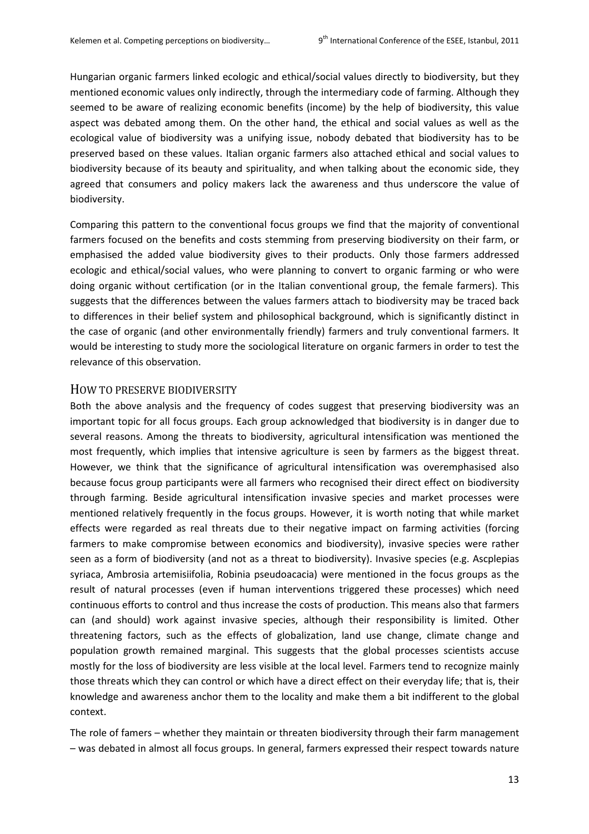Hungarian organic farmers linked ecologic and ethical/social values directly to biodiversity, but they mentioned economic values only indirectly, through the intermediary code of farming. Although they seemed to be aware of realizing economic benefits (income) by the help of biodiversity, this value aspect was debated among them. On the other hand, the ethical and social values as well as the ecological value of biodiversity was a unifying issue, nobody debated that biodiversity has to be preserved based on these values. Italian organic farmers also attached ethical and social values to biodiversity because of its beauty and spirituality, and when talking about the economic side, they agreed that consumers and policy makers lack the awareness and thus underscore the value of biodiversity.

Comparing this pattern to the conventional focus groups we find that the majority of conventional farmers focused on the benefits and costs stemming from preserving biodiversity on their farm, or emphasised the added value biodiversity gives to their products. Only those farmers addressed ecologic and ethical/social values, who were planning to convert to organic farming or who were doing organic without certification (or in the Italian conventional group, the female farmers). This suggests that the differences between the values farmers attach to biodiversity may be traced back to differences in their belief system and philosophical background, which is significantly distinct in the case of organic (and other environmentally friendly) farmers and truly conventional farmers. It would be interesting to study more the sociological literature on organic farmers in order to test the relevance of this observation.

#### HOW TO PRESERVE BIODIVERSITY

Both the above analysis and the frequency of codes suggest that preserving biodiversity was an important topic for all focus groups. Each group acknowledged that biodiversity is in danger due to several reasons. Among the threats to biodiversity, agricultural intensification was mentioned the most frequently, which implies that intensive agriculture is seen by farmers as the biggest threat. However, we think that the significance of agricultural intensification was overemphasised also because focus group participants were all farmers who recognised their direct effect on biodiversity through farming. Beside agricultural intensification invasive species and market processes were mentioned relatively frequently in the focus groups. However, it is worth noting that while market effects were regarded as real threats due to their negative impact on farming activities (forcing farmers to make compromise between economics and biodiversity), invasive species were rather seen as a form of biodiversity (and not as a threat to biodiversity). Invasive species (e.g. Ascplepias syriaca, Ambrosia artemisiifolia, Robinia pseudoacacia) were mentioned in the focus groups as the result of natural processes (even if human interventions triggered these processes) which need continuous efforts to control and thus increase the costs of production. This means also that farmers can (and should) work against invasive species, although their responsibility is limited. Other threatening factors, such as the effects of globalization, land use change, climate change and population growth remained marginal. This suggests that the global processes scientists accuse mostly for the loss of biodiversity are less visible at the local level. Farmers tend to recognize mainly those threats which they can control or which have a direct effect on their everyday life; that is, their knowledge and awareness anchor them to the locality and make them a bit indifferent to the global context.

The role of famers – whether they maintain or threaten biodiversity through their farm management – was debated in almost all focus groups. In general, farmers expressed their respect towards nature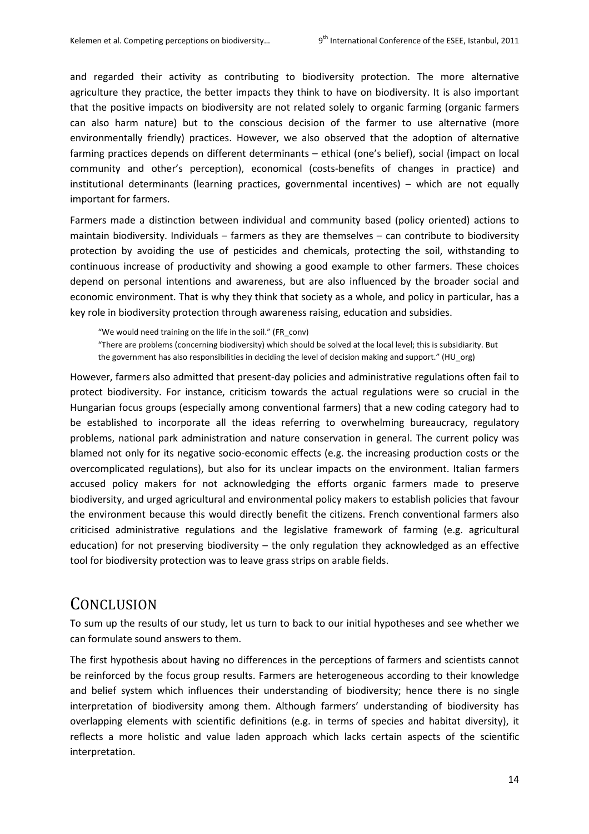and regarded their activity as contributing to biodiversity protection. The more alternative agriculture they practice, the better impacts they think to have on biodiversity. It is also important that the positive impacts on biodiversity are not related solely to organic farming (organic farmers can also harm nature) but to the conscious decision of the farmer to use alternative (more environmentally friendly) practices. However, we also observed that the adoption of alternative farming practices depends on different determinants – ethical (one's belief), social (impact on local community and other's perception), economical (costs-benefits of changes in practice) and institutional determinants (learning practices, governmental incentives) – which are not equally important for farmers.

Farmers made a distinction between individual and community based (policy oriented) actions to maintain biodiversity. Individuals – farmers as they are themselves – can contribute to biodiversity protection by avoiding the use of pesticides and chemicals, protecting the soil, withstanding to continuous increase of productivity and showing a good example to other farmers. These choices depend on personal intentions and awareness, but are also influenced by the broader social and economic environment. That is why they think that society as a whole, and policy in particular, has a key role in biodiversity protection through awareness raising, education and subsidies.

"We would need training on the life in the soil." (FR\_conv)

"There are problems (concerning biodiversity) which should be solved at the local level; this is subsidiarity. But the government has also responsibilities in deciding the level of decision making and support." (HU org)

However, farmers also admitted that present-day policies and administrative regulations often fail to protect biodiversity. For instance, criticism towards the actual regulations were so crucial in the Hungarian focus groups (especially among conventional farmers) that a new coding category had to be established to incorporate all the ideas referring to overwhelming bureaucracy, regulatory problems, national park administration and nature conservation in general. The current policy was blamed not only for its negative socio-economic effects (e.g. the increasing production costs or the overcomplicated regulations), but also for its unclear impacts on the environment. Italian farmers accused policy makers for not acknowledging the efforts organic farmers made to preserve biodiversity, and urged agricultural and environmental policy makers to establish policies that favour the environment because this would directly benefit the citizens. French conventional farmers also criticised administrative regulations and the legislative framework of farming (e.g. agricultural education) for not preserving biodiversity – the only regulation they acknowledged as an effective tool for biodiversity protection was to leave grass strips on arable fields.

## **CONCLUSION**

To sum up the results of our study, let us turn to back to our initial hypotheses and see whether we can formulate sound answers to them.

The first hypothesis about having no differences in the perceptions of farmers and scientists cannot be reinforced by the focus group results. Farmers are heterogeneous according to their knowledge and belief system which influences their understanding of biodiversity; hence there is no single interpretation of biodiversity among them. Although farmers' understanding of biodiversity has overlapping elements with scientific definitions (e.g. in terms of species and habitat diversity), it reflects a more holistic and value laden approach which lacks certain aspects of the scientific interpretation.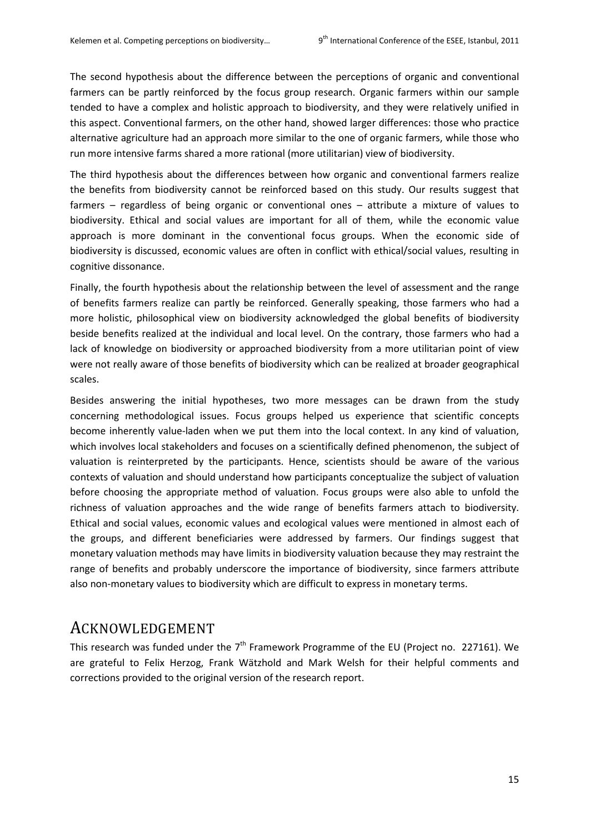The second hypothesis about the difference between the perceptions of organic and conventional farmers can be partly reinforced by the focus group research. Organic farmers within our sample tended to have a complex and holistic approach to biodiversity, and they were relatively unified in this aspect. Conventional farmers, on the other hand, showed larger differences: those who practice alternative agriculture had an approach more similar to the one of organic farmers, while those who run more intensive farms shared a more rational (more utilitarian) view of biodiversity.

The third hypothesis about the differences between how organic and conventional farmers realize the benefits from biodiversity cannot be reinforced based on this study. Our results suggest that farmers – regardless of being organic or conventional ones – attribute a mixture of values to biodiversity. Ethical and social values are important for all of them, while the economic value approach is more dominant in the conventional focus groups. When the economic side of biodiversity is discussed, economic values are often in conflict with ethical/social values, resulting in cognitive dissonance.

Finally, the fourth hypothesis about the relationship between the level of assessment and the range of benefits farmers realize can partly be reinforced. Generally speaking, those farmers who had a more holistic, philosophical view on biodiversity acknowledged the global benefits of biodiversity beside benefits realized at the individual and local level. On the contrary, those farmers who had a lack of knowledge on biodiversity or approached biodiversity from a more utilitarian point of view were not really aware of those benefits of biodiversity which can be realized at broader geographical scales.

Besides answering the initial hypotheses, two more messages can be drawn from the study concerning methodological issues. Focus groups helped us experience that scientific concepts become inherently value-laden when we put them into the local context. In any kind of valuation, which involves local stakeholders and focuses on a scientifically defined phenomenon, the subject of valuation is reinterpreted by the participants. Hence, scientists should be aware of the various contexts of valuation and should understand how participants conceptualize the subject of valuation before choosing the appropriate method of valuation. Focus groups were also able to unfold the richness of valuation approaches and the wide range of benefits farmers attach to biodiversity. Ethical and social values, economic values and ecological values were mentioned in almost each of the groups, and different beneficiaries were addressed by farmers. Our findings suggest that monetary valuation methods may have limits in biodiversity valuation because they may restraint the range of benefits and probably underscore the importance of biodiversity, since farmers attribute also non-monetary values to biodiversity which are difficult to express in monetary terms.

## ACKNOWLEDGEMENT

This research was funded under the  $7<sup>th</sup>$  Framework Programme of the EU (Project no. 227161). We are grateful to Felix Herzog, Frank Wätzhold and Mark Welsh for their helpful comments and corrections provided to the original version of the research report.